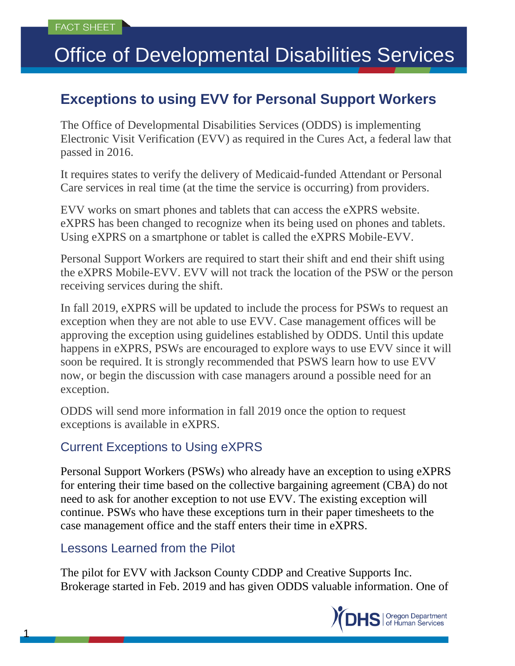# Office of Developmental Disabilities Services

## **Exceptions to using EVV for Personal Support Workers**

The Office of Developmental Disabilities Services (ODDS) is implementing Electronic Visit Verification (EVV) as required in the Cures Act, a federal law that passed in 2016.

It requires states to verify the delivery of Medicaid-funded Attendant or Personal Care services in real time (at the time the service is occurring) from providers.

EVV works on smart phones and tablets that can access the eXPRS website. eXPRS has been changed to recognize when its being used on phones and tablets. Using eXPRS on a smartphone or tablet is called the eXPRS Mobile-EVV.

Personal Support Workers are required to start their shift and end their shift using the eXPRS Mobile-EVV. EVV will not track the location of the PSW or the person receiving services during the shift.

In fall 2019, eXPRS will be updated to include the process for PSWs to request an exception when they are not able to use EVV. Case management offices will be approving the exception using guidelines established by ODDS. Until this update happens in eXPRS, PSWs are encouraged to explore ways to use EVV since it will soon be required. It is strongly recommended that PSWS learn how to use EVV now, or begin the discussion with case managers around a possible need for an exception.

ODDS will send more information in fall 2019 once the option to request exceptions is available in eXPRS.

#### Current Exceptions to Using eXPRS

Personal Support Workers (PSWs) who already have an exception to using eXPRS for entering their time based on the collective bargaining agreement (CBA) do not need to ask for another exception to not use EVV. The existing exception will continue. PSWs who have these exceptions turn in their paper timesheets to the case management office and the staff enters their time in eXPRS.

#### Lessons Learned from the Pilot

1

The pilot for EVV with Jackson County CDDP and Creative Supports Inc. Brokerage started in Feb. 2019 and has given ODDS valuable information. One of